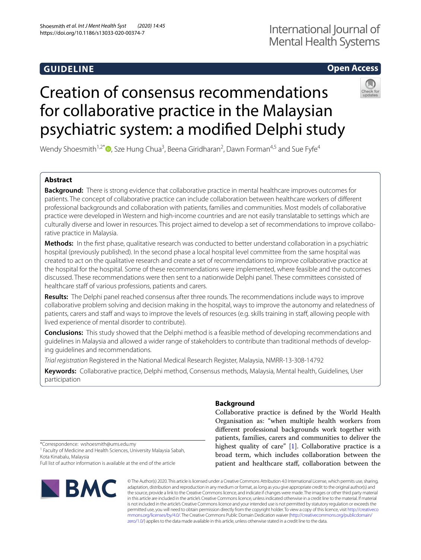# **GUIDELINE**

# International Journal of Mental Health Systems

## **Open Access**

# Creation of consensus recommendations for collaborative practice in the Malaysian psychiatric system: a modifed Delphi study

Wendy Shoesmith<sup>1,2[\\*](http://orcid.org/0000-0002-6382-9831)</sup> ©, Sze Hung Chua<sup>3</sup>, Beena Giridharan<sup>2</sup>, Dawn Forman<sup>4,5</sup> and Sue Fyfe<sup>4</sup>

## **Abstract**

**Background:** There is strong evidence that collaborative practice in mental healthcare improves outcomes for patients. The concept of collaborative practice can include collaboration between healthcare workers of diferent professional backgrounds and collaboration with patients, families and communities. Most models of collaborative practice were developed in Western and high-income countries and are not easily translatable to settings which are culturally diverse and lower in resources. This project aimed to develop a set of recommendations to improve collaborative practice in Malaysia.

**Methods:** In the frst phase, qualitative research was conducted to better understand collaboration in a psychiatric hospital (previously published). In the second phase a local hospital level committee from the same hospital was created to act on the qualitative research and create a set of recommendations to improve collaborative practice at the hospital for the hospital. Some of these recommendations were implemented, where feasible and the outcomes discussed. These recommendations were then sent to a nationwide Delphi panel. These committees consisted of healthcare staff of various professions, patients and carers.

**Results:** The Delphi panel reached consensus after three rounds. The recommendations include ways to improve collaborative problem solving and decision making in the hospital, ways to improve the autonomy and relatedness of patients, carers and staff and ways to improve the levels of resources (e.g. skills training in staff, allowing people with lived experience of mental disorder to contribute).

**Conclusions:** This study showed that the Delphi method is a feasible method of developing recommendations and guidelines in Malaysia and allowed a wider range of stakeholders to contribute than traditional methods of developing guidelines and recommendations.

*Trial registration* Registered in the National Medical Research Register, Malaysia, NMRR-13-308-14792

**Keywords:** Collaborative practice, Delphi method, Consensus methods, Malaysia, Mental health, Guidelines, User participation

### **Background**

Collaborative practice is defned by the World Health Organisation as: "when multiple health workers from diferent professional backgrounds work together with patients, families, carers and communities to deliver the highest quality of care" [\[1](#page-11-0)]. Collaborative practice is a broad term, which includes collaboration between the patient and healthcare staf, collaboration between the

\*Correspondence: wshoesmith@ums.edu.my

<sup>1</sup> Faculty of Medicine and Health Sciences, University Malaysia Sabah, Kota Kinabalu, Malaysia

Full list of author information is available at the end of the article



© The Author(s) 2020. This article is licensed under a Creative Commons Attribution 4.0 International License, which permits use, sharing, adaptation, distribution and reproduction in any medium or format, as long as you give appropriate credit to the original author(s) and the source, provide a link to the Creative Commons licence, and indicate if changes were made. The images or other third party material in this article are included in the article's Creative Commons licence, unless indicated otherwise in a credit line to the material. If material is not included in the article's Creative Commons licence and your intended use is not permitted by statutory regulation or exceeds the permitted use, you will need to obtain permission directly from the copyright holder. To view a copy of this licence, visit [http://creativeco](http://creativecommons.org/licenses/by/4.0/) [mmons.org/licenses/by/4.0/.](http://creativecommons.org/licenses/by/4.0/) The Creative Commons Public Domain Dedication waiver ([http://creativecommons.org/publicdomain/](http://creativecommons.org/publicdomain/zero/1.0/) [zero/1.0/\)](http://creativecommons.org/publicdomain/zero/1.0/) applies to the data made available in this article, unless otherwise stated in a credit line to the data.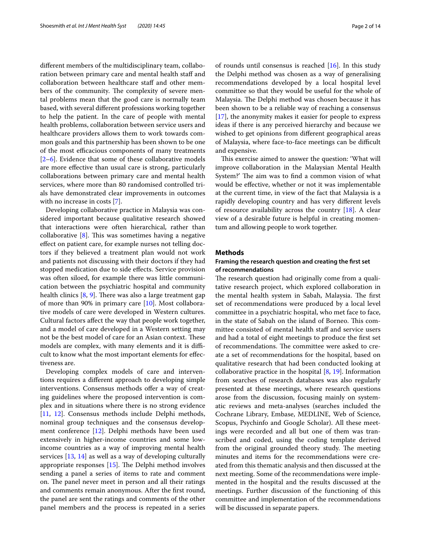diferent members of the multidisciplinary team, collaboration between primary care and mental health staff and collaboration between healthcare staf and other members of the community. The complexity of severe mental problems mean that the good care is normally team based, with several diferent professions working together to help the patient. In the care of people with mental health problems, collaboration between service users and healthcare providers allows them to work towards common goals and this partnership has been shown to be one of the most efficacious components of many treatments  $[2-6]$  $[2-6]$ . Evidence that some of these collaborative models are more efective than usual care is strong, particularly collaborations between primary care and mental health services, where more than 80 randomised controlled trials have demonstrated clear improvements in outcomes with no increase in costs [[7\]](#page-11-3).

Developing collaborative practice in Malaysia was considered important because qualitative research showed that interactions were often hierarchical, rather than collaborative  $[8]$  $[8]$ . This was sometimes having a negative efect on patient care, for example nurses not telling doctors if they believed a treatment plan would not work and patients not discussing with their doctors if they had stopped medication due to side efects. Service provision was often siloed, for example there was little communication between the psychiatric hospital and community health clinics  $[8, 9]$  $[8, 9]$  $[8, 9]$  $[8, 9]$ . There was also a large treatment gap of more than 90% in primary care [[10\]](#page-11-6). Most collaborative models of care were developed in Western cultures. Cultural factors afect the way that people work together, and a model of care developed in a Western setting may not be the best model of care for an Asian context. These models are complex, with many elements and it is difficult to know what the most important elements for efectiveness are.

Developing complex models of care and interventions requires a diferent approach to developing simple interventions. Consensus methods offer a way of creating guidelines where the proposed intervention is complex and in situations where there is no strong evidence [[11,](#page-11-7) [12](#page-11-8)]. Consensus methods include Delphi methods, nominal group techniques and the consensus development conference [\[12\]](#page-11-8). Delphi methods have been used extensively in higher-income countries and some lowincome countries as a way of improving mental health services [\[13,](#page-11-9) [14\]](#page-11-10) as well as a way of developing culturally appropriate responses  $[15]$  $[15]$ . The Delphi method involves sending a panel a series of items to rate and comment on. The panel never meet in person and all their ratings and comments remain anonymous. After the frst round, the panel are sent the ratings and comments of the other panel members and the process is repeated in a series of rounds until consensus is reached [\[16](#page-11-12)]. In this study the Delphi method was chosen as a way of generalising recommendations developed by a local hospital level committee so that they would be useful for the whole of Malaysia. The Delphi method was chosen because it has been shown to be a reliable way of reaching a consensus [[17\]](#page-11-13), the anonymity makes it easier for people to express ideas if there is any perceived hierarchy and because we wished to get opinions from diferent geographical areas of Malaysia, where face-to-face meetings can be difficult and expensive.

This exercise aimed to answer the question: 'What will improve collaboration in the Malaysian Mental Health System?' The aim was to find a common vision of what would be efective, whether or not it was implementable at the current time, in view of the fact that Malaysia is a rapidly developing country and has very diferent levels of resource availability across the country [[18\]](#page-11-14). A clear view of a desirable future is helpful in creating momentum and allowing people to work together.

#### <span id="page-1-0"></span>**Methods**

#### **Framing the research question and creating the frst set of recommendations**

The research question had originally come from a qualitative research project, which explored collaboration in the mental health system in Sabah, Malaysia. The first set of recommendations were produced by a local level committee in a psychiatric hospital, who met face to face, in the state of Sabah on the island of Borneo. This committee consisted of mental health staff and service users and had a total of eight meetings to produce the frst set of recommendations. The committee were asked to create a set of recommendations for the hospital, based on qualitative research that had been conducted looking at collaborative practice in the hospital [[8,](#page-11-4) [19\]](#page-11-15). Information from searches of research databases was also regularly presented at these meetings, where research questions arose from the discussion, focusing mainly on systematic reviews and meta-analyses (searches included the Cochrane Library, Embase, MEDLINE, Web of Science, Scopus, Psychinfo and Google Scholar). All these meetings were recorded and all but one of them was transcribed and coded, using the coding template derived from the original grounded theory study. The meeting minutes and items for the recommendations were created from this thematic analysis and then discussed at the next meeting. Some of the recommendations were implemented in the hospital and the results discussed at the meetings. Further discussion of the functioning of this committee and implementation of the recommendations will be discussed in separate papers.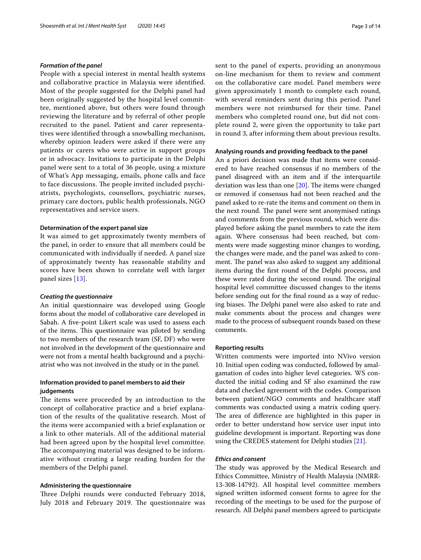#### *Formation of the panel*

People with a special interest in mental health systems and collaborative practice in Malaysia were identifed. Most of the people suggested for the Delphi panel had been originally suggested by the hospital level committee, mentioned above, but others were found through reviewing the literature and by referral of other people recruited to the panel. Patient and carer representatives were identifed through a snowballing mechanism, whereby opinion leaders were asked if there were any patients or carers who were active in support groups or in advocacy. Invitations to participate in the Delphi panel were sent to a total of 36 people, using a mixture of What's App messaging, emails, phone calls and face to face discussions. The people invited included psychiatrists, psychologists, counsellors, psychiatric nurses, primary care doctors, public health professionals, NGO representatives and service users.

#### **Determination of the expert panel size**

It was aimed to get approximately twenty members of the panel, in order to ensure that all members could be communicated with individually if needed. A panel size of approximately twenty has reasonable stability and scores have been shown to correlate well with larger panel sizes [[13\]](#page-11-9).

#### *Creating the questionnaire*

An initial questionnaire was developed using Google forms about the model of collaborative care developed in Sabah. A fve-point Likert scale was used to assess each of the items. This questionnaire was piloted by sending to two members of the research team (SF, DF) who were not involved in the development of the questionnaire and were not from a mental health background and a psychiatrist who was not involved in the study or in the panel.

#### **Information provided to panel members to aid their judgements**

The items were proceeded by an introduction to the concept of collaborative practice and a brief explanation of the results of the qualitative research. Most of the items were accompanied with a brief explanation or a link to other materials. All of the additional material had been agreed upon by the hospital level committee. The accompanying material was designed to be informative without creating a large reading burden for the members of the Delphi panel.

#### **Administering the questionnaire**

Three Delphi rounds were conducted February 2018, July 2018 and February 2019. The questionnaire was sent to the panel of experts, providing an anonymous on-line mechanism for them to review and comment on the collaborative care model. Panel members were given approximately 1 month to complete each round, with several reminders sent during this period. Panel members were not reimbursed for their time. Panel members who completed round one, but did not complete round 2, were given the opportunity to take part in round 3, after informing them about previous results.

#### **Analysing rounds and providing feedback to the panel**

An a priori decision was made that items were considered to have reached consensus if no members of the panel disagreed with an item and if the interquartile deviation was less than one  $[20]$  $[20]$ . The items were changed or removed if consensus had not been reached and the panel asked to re-rate the items and comment on them in the next round. The panel were sent anonymised ratings and comments from the previous round, which were displayed before asking the panel members to rate the item again. Where consensus had been reached, but comments were made suggesting minor changes to wording, the changes were made, and the panel was asked to comment. The panel was also asked to suggest any additional items during the frst round of the Delphi process, and these were rated during the second round. The original hospital level committee discussed changes to the items before sending out for the fnal round as a way of reducing biases. The Delphi panel were also asked to rate and make comments about the process and changes were made to the process of subsequent rounds based on these comments.

#### **Reporting results**

Written comments were imported into NVivo version 10. Initial open coding was conducted, followed by amalgamation of codes into higher level categories. WS conducted the initial coding and SF also examined the raw data and checked agreement with the codes. Comparison between patient/NGO comments and healthcare staf comments was conducted using a matrix coding query. The area of difference are highlighted in this paper in order to better understand how service user input into guideline development is important. Reporting was done using the CREDES statement for Delphi studies [[21\]](#page-11-17).

#### *Ethics and consent*

The study was approved by the Medical Research and Ethics Committee, Ministry of Health Malaysia (NMRR-13-308-14792). All hospital level committee members signed written informed consent forms to agree for the recording of the meetings to be used for the purpose of research. All Delphi panel members agreed to participate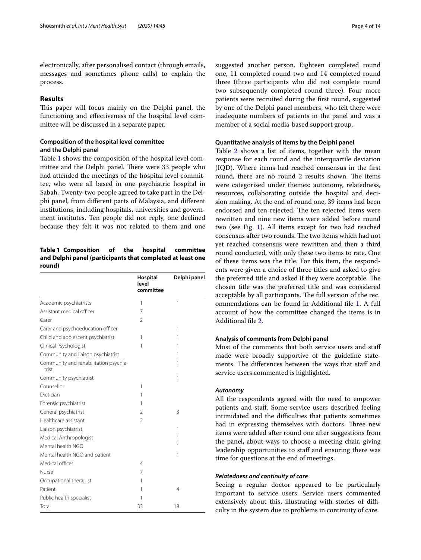electronically, after personalised contact (through emails, messages and sometimes phone calls) to explain the process.

#### **Results**

This paper will focus mainly on the Delphi panel, the functioning and efectiveness of the hospital level committee will be discussed in a separate paper.

#### **Composition of the hospital level committee and the Delphi panel**

Table [1](#page-3-0) shows the composition of the hospital level committee and the Delphi panel. There were 33 people who had attended the meetings of the hospital level committee, who were all based in one psychiatric hospital in Sabah. Twenty-two people agreed to take part in the Delphi panel, from diferent parts of Malaysia, and diferent institutions, including hospitals, universities and government institutes. Ten people did not reply, one declined because they felt it was not related to them and one

#### <span id="page-3-0"></span>**Table 1 Composition of the hospital committee and Delphi panel (participants that completed at least one round)**

|                                                | Hospital<br>level<br>committee | Delphi panel   |
|------------------------------------------------|--------------------------------|----------------|
| Academic psychiatrists                         | 1                              | 1              |
| Assistant medical officer                      | 7                              |                |
| Carer                                          | $\mathfrak{D}$                 |                |
| Carer and psychoeducation officer              |                                | 1              |
| Child and adolescent psychiatrist              | 1                              | 1              |
| Clinical Psychologist                          | 1                              | 1              |
| Community and liaison psychiatrist             |                                | 1              |
| Community and rehabilitation psychia-<br>trist |                                | 1              |
| Community psychiatrist                         |                                | 1              |
| Counsellor                                     | 1                              |                |
| Dietician                                      | 1                              |                |
| Forensic psychiatrist                          | 1                              |                |
| General psychiatrist                           | $\mathfrak{D}$                 | 3              |
| Healthcare assistant                           | $\overline{2}$                 |                |
| Liaison psychiatrist                           |                                | 1              |
| Medical Anthropologist                         |                                | 1              |
| Mental health NGO                              |                                | 1              |
| Mental health NGO and patient                  |                                | 1              |
| Medical officer                                | $\overline{4}$                 |                |
| Nurse                                          | 7                              |                |
| Occupational therapist                         | 1                              |                |
| Patient                                        | 1                              | $\overline{4}$ |
| Public health specialist                       | 1                              |                |
| Total                                          | 33                             | 18             |

suggested another person. Eighteen completed round one, 11 completed round two and 14 completed round three (three participants who did not complete round two subsequently completed round three). Four more patients were recruited during the frst round, suggested by one of the Delphi panel members, who felt there were inadequate numbers of patients in the panel and was a member of a social media-based support group.

#### **Quantitative analysis of items by the Delphi panel**

Table [2](#page-4-0) shows a list of items, together with the mean response for each round and the interquartile deviation (IQD). Where items had reached consensus in the frst round, there are no round 2 results shown. The items were categorised under themes: autonomy, relatedness, resources, collaborating outside the hospital and decision making. At the end of round one, 39 items had been endorsed and ten rejected. The ten rejected items were rewritten and nine new items were added before round two (see Fig. [1](#page-6-0)). All items except for two had reached consensus after two rounds. The two items which had not yet reached consensus were rewritten and then a third round conducted, with only these two items to rate. One of these items was the title. For this item, the respondents were given a choice of three titles and asked to give the preferred title and asked if they were acceptable. The chosen title was the preferred title and was considered acceptable by all participants. The full version of the recommendations can be found in Additional fle [1.](#page-10-0) A full account of how the committee changed the items is in Additional fle [2](#page-10-1).

#### **Analysis of comments from Delphi panel**

Most of the comments that both service users and staf made were broadly supportive of the guideline statements. The differences between the ways that staff and service users commented is highlighted.

#### *Autonomy*

All the respondents agreed with the need to empower patients and staf. Some service users described feeling intimidated and the difficulties that patients sometimes had in expressing themselves with doctors. Three new items were added after round one after suggestions from the panel, about ways to choose a meeting chair, giving leadership opportunities to staff and ensuring there was time for questions at the end of meetings.

#### *Relatedness and continuity of care*

Seeing a regular doctor appeared to be particularly important to service users. Service users commented extensively about this, illustrating with stories of difficulty in the system due to problems in continuity of care.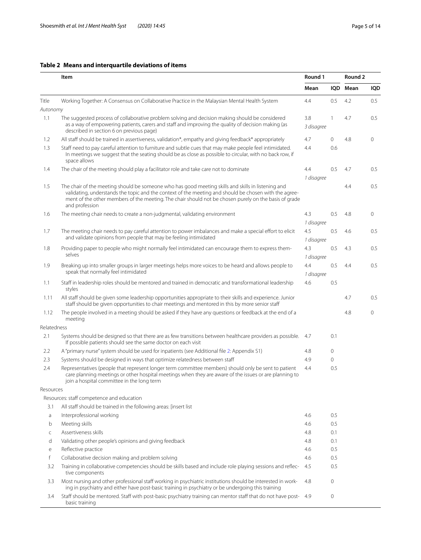#### <span id="page-4-0"></span>**Table 2 Means and interquartile deviations of items**

|             | Item                                                                                                                                                                                                                                                                                                                                   |                   | Round 1 |      | Round 2    |  |
|-------------|----------------------------------------------------------------------------------------------------------------------------------------------------------------------------------------------------------------------------------------------------------------------------------------------------------------------------------------|-------------------|---------|------|------------|--|
|             |                                                                                                                                                                                                                                                                                                                                        | Mean              | IQD     | Mean | <b>IQD</b> |  |
| Title       | Working Together: A Consensus on Collaborative Practice in the Malaysian Mental Health System                                                                                                                                                                                                                                          | 4.4               | 0.5     | 4.2  | 0.5        |  |
| Autonomy    |                                                                                                                                                                                                                                                                                                                                        |                   |         |      |            |  |
| 1.1         | The suggested process of collaborative problem solving and decision making should be considered<br>as a way of empowering patients, carers and staff and improving the quality of decision making (as<br>described in section 6 on previous page)                                                                                      | 3.8<br>3 disagree | 1       | 4.7  | 0.5        |  |
| 1.2         | All staff should be trained in assertiveness, validation*, empathy and giving feedback* appropriately                                                                                                                                                                                                                                  | 4.7               | 0       | 4.8  | 0          |  |
| 1.3         | Staff need to pay careful attention to furniture and subtle cues that may make people feel intimidated.<br>In meetings we suggest that the seating should be as close as possible to circular, with no back row, if<br>space allows                                                                                                    | 4.4               | 0.6     |      |            |  |
| 1.4         | The chair of the meeting should play a facilitator role and take care not to dominate                                                                                                                                                                                                                                                  | 4.4<br>1 disagree | 0.5     | 4.7  | 0.5        |  |
| 1.5         | The chair of the meeting should be someone who has good meeting skills and skills in listening and<br>validating, understands the topic and the context of the meeting and should be chosen with the agree-<br>ment of the other members of the meeting. The chair should not be chosen purely on the basis of grade<br>and profession |                   |         | 4.4  | 0.5        |  |
| 1.6         | The meeting chair needs to create a non-judgmental, validating environment                                                                                                                                                                                                                                                             | 4.3<br>1 disagree | 0.5     | 4.8  | 0          |  |
| 1.7         | The meeting chair needs to pay careful attention to power imbalances and make a special effort to elicit                                                                                                                                                                                                                               | 4.5               | 0.5     | 4.6  | 0.5        |  |
|             | and validate opinions from people that may be feeling intimidated                                                                                                                                                                                                                                                                      | 1 disagree        |         |      |            |  |
| 1.8         | Providing paper to people who might normally feel intimidated can encourage them to express them-                                                                                                                                                                                                                                      | 4.3               | 0.5     | 4.3  | 0.5        |  |
|             | selves                                                                                                                                                                                                                                                                                                                                 | 1 disagree        |         |      |            |  |
| 1.9         | Breaking up into smaller groups in larger meetings helps more voices to be heard and allows people to                                                                                                                                                                                                                                  | 4.4               | 0.5     | 4.4  | 0.5        |  |
|             | speak that normally feel intimidated                                                                                                                                                                                                                                                                                                   | 1 disagree        |         |      |            |  |
| 1.1         | Staff in leadership roles should be mentored and trained in democratic and transformational leadership<br>styles                                                                                                                                                                                                                       | 4.6               | 0.5     |      |            |  |
| 1.11        | All staff should be given some leadership opportunities appropriate to their skills and experience. Junior<br>staff should be given opportunities to chair meetings and mentored in this by more senior staff                                                                                                                          |                   |         | 4.7  | 0.5        |  |
| 1.12        | The people involved in a meeting should be asked if they have any questions or feedback at the end of a<br>meeting                                                                                                                                                                                                                     |                   |         | 4.8  | 0          |  |
| Relatedness |                                                                                                                                                                                                                                                                                                                                        |                   |         |      |            |  |
| 2.1         | Systems should be designed so that there are as few transitions between healthcare providers as possible. 4.7<br>If possible patients should see the same doctor on each visit                                                                                                                                                         |                   | 0.1     |      |            |  |
| 2.2         | A "primary nurse" system should be used for inpatients (see Additional file 2: Appendix S1)                                                                                                                                                                                                                                            | 4.8               | 0       |      |            |  |
| 2.3         | Systems should be designed in ways that optimize relatedness between staff                                                                                                                                                                                                                                                             | 4.9               | 0       |      |            |  |
| 2.4         | Representatives (people that represent longer term committee members) should only be sent to patient<br>care planning meetings or other hospital meetings when they are aware of the issues or are planning to<br>join a hospital committee in the long term                                                                           | 4.4               | 0.5     |      |            |  |
| Resources   |                                                                                                                                                                                                                                                                                                                                        |                   |         |      |            |  |
|             | Resources: staff competence and education                                                                                                                                                                                                                                                                                              |                   |         |      |            |  |
| 3.1         | All staff should be trained in the following areas: [insert list]                                                                                                                                                                                                                                                                      |                   |         |      |            |  |
| a           | Interprofessional working                                                                                                                                                                                                                                                                                                              | 4.6               | 0.5     |      |            |  |
| b           | Meeting skills                                                                                                                                                                                                                                                                                                                         | 4.6               | 0.5     |      |            |  |
| C           | Assertiveness skills                                                                                                                                                                                                                                                                                                                   | 4.8               | 0.1     |      |            |  |
| d           | Validating other people's opinions and giving feedback                                                                                                                                                                                                                                                                                 | 4.8               | 0.1     |      |            |  |
| е           | Reflective practice                                                                                                                                                                                                                                                                                                                    | 4.6               | 0.5     |      |            |  |
| f           | Collaborative decision making and problem solving                                                                                                                                                                                                                                                                                      | 4.6               | 0.5     |      |            |  |
| 3.2         | Training in collaborative competencies should be skills based and include role playing sessions and reflec-<br>tive components                                                                                                                                                                                                         | 4.5               | 0.5     |      |            |  |
| 3.3         | Most nursing and other professional staff working in psychiatric institutions should be interested in work-<br>ing in psychiatry and either have post-basic training in psychiatry or be undergoing this training                                                                                                                      | 4.8               | 0       |      |            |  |
| 3.4         | Staff should be mentored. Staff with post-basic psychiatry training can mentor staff that do not have post- 4.9<br>basic training                                                                                                                                                                                                      |                   | 0       |      |            |  |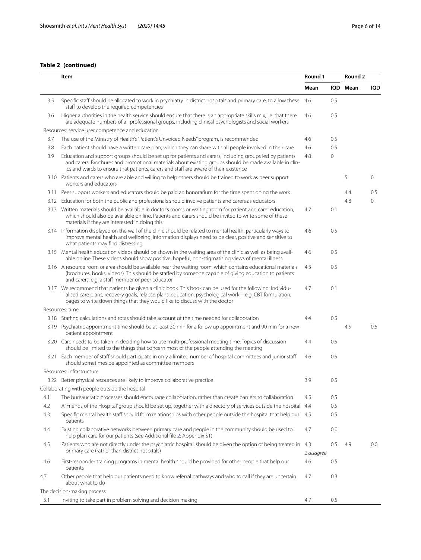#### **Table 2 (continued)**

|     | Item                                                                                                                                                                                                                                                                                                       |            | Round 1 |          |            |
|-----|------------------------------------------------------------------------------------------------------------------------------------------------------------------------------------------------------------------------------------------------------------------------------------------------------------|------------|---------|----------|------------|
|     |                                                                                                                                                                                                                                                                                                            | Mean       |         | IQD Mean | <b>IQD</b> |
| 3.5 | Specific staff should be allocated to work in psychiatry in district hospitals and primary care, to allow these<br>staff to develop the required competencies                                                                                                                                              | 4.6        | 0.5     |          |            |
| 3.6 | Higher authorities in the health service should ensure that there is an appropriate skills mix, i.e. that there<br>are adequate numbers of all professional groups, including clinical psychologists and social workers                                                                                    | 4.6        | 0.5     |          |            |
|     | Resources: service user competence and education                                                                                                                                                                                                                                                           |            |         |          |            |
| 3.7 | The use of the Ministry of Health's "Patient's Unvoiced Needs" program, is recommended                                                                                                                                                                                                                     | 4.6        | 0.5     |          |            |
| 3.8 | Each patient should have a written care plan, which they can share with all people involved in their care                                                                                                                                                                                                  | 4.6        | 0.5     |          |            |
| 3.9 | Education and support groups should be set up for patients and carers, including groups led by patients<br>and carers. Brochures and promotional materials about existing groups should be made available in clin-<br>ics and wards to ensure that patients, carers and staff are aware of their existence | 4.8        | 0       |          |            |
|     | 3.10 Patients and carers who are able and willing to help others should be trained to work as peer support<br>workers and educators                                                                                                                                                                        |            |         | 5        | $\circ$    |
|     | 3.11 Peer support workers and educators should be paid an honorarium for the time spent doing the work                                                                                                                                                                                                     |            |         | 4.4      | 0.5        |
|     | 3.12 Education for both the public and professionals should involve patients and carers as educators                                                                                                                                                                                                       |            |         | 4.8      | $\circ$    |
|     | 3.13 Written materials should be available in doctor's rooms or waiting room for patient and carer education,<br>which should also be available on line. Patients and carers should be invited to write some of these<br>materials if they are interested in doing this                                    | 4.7        | 0.1     |          |            |
|     | 3.14 Information displayed on the wall of the clinic should be related to mental health, particularly ways to<br>improve mental health and wellbeing. Information displays need to be clear, positive and sensitive to<br>what patients may find distressing                                               | 4.6        | 0.5     |          |            |
|     | 3.15 Mental health education videos should be shown in the waiting area of the clinic as well as being avail-<br>able online. These videos should show positive, hopeful, non-stigmatising views of mental illness                                                                                         | 4.6        | 0.5     |          |            |
|     | 3.16 A resource room or area should be available near the waiting room, which contains educational materials<br>(brochures, books, videos). This should be staffed by someone capable of giving education to patients<br>and carers, e.g. a staff member or peer educator                                  | 4.3        | 0.5     |          |            |
|     | 3.17 We recommend that patients be given a clinic book. This book can be used for the following: Individu-<br>alised care plans, recovery goals, relapse plans, education, psychological work-e.g. CBT formulation,<br>pages to write down things that they would like to discuss with the doctor          | 4.7        | 0.1     |          |            |
|     | Resources: time                                                                                                                                                                                                                                                                                            |            |         |          |            |
|     | 3.18 Staffing calculations and rotas should take account of the time needed for collaboration                                                                                                                                                                                                              | 4.4        | 0.5     |          |            |
|     | 3.19 Psychiatric appointment time should be at least 30 min for a follow up appointment and 90 min for a new<br>patient appointment                                                                                                                                                                        |            |         | 4.5      | 0.5        |
|     | 3.20 Care needs to be taken in deciding how to use multi-professional meeting time. Topics of discussion<br>should be limited to the things that concern most of the people attending the meeting                                                                                                          | 4.4        | 0.5     |          |            |
|     | 3.21 Each member of staff should participate in only a limited number of hospital committees and junior staff<br>should sometimes be appointed as committee members                                                                                                                                        | 4.6        | 0.5     |          |            |
|     | Resources: infrastructure                                                                                                                                                                                                                                                                                  |            |         |          |            |
|     | 3.22 Better physical resources are likely to improve collaborative practice                                                                                                                                                                                                                                | 3.9        | 0.5     |          |            |
|     | Collaborating with people outside the hospital                                                                                                                                                                                                                                                             |            |         |          |            |
| 4.1 | The bureaucratic processes should encourage collaboration, rather than create barriers to collaboration                                                                                                                                                                                                    | 4.5        | 0.5     |          |            |
| 4.2 | A 'Friends of the Hospital' group should be set up, together with a directory of services outside the hospital                                                                                                                                                                                             | 4.4        | 0.5     |          |            |
| 4.3 | Specific mental health staff should form relationships with other people outside the hospital that help our<br>patients                                                                                                                                                                                    | 4.5        | 0.5     |          |            |
| 4.4 | Existing collaborative networks between primary care and people in the community should be used to<br>help plan care for our patients (see Additional file 2: Appendix S1)                                                                                                                                 | 4.7        | 0.0     |          |            |
| 4.5 | Patients who are not directly under the psychiatric hospital, should be given the option of being treated in 4.3<br>primary care (rather than district hospitals)                                                                                                                                          | 2 disagree | 0.5     | 4.9      | 0.0        |
| 4.6 | First-responder training programs in mental health should be provided for other people that help our<br>patients                                                                                                                                                                                           | 4.6        | 0.5     |          |            |
| 4.7 | Other people that help our patients need to know referral pathways and who to call if they are uncertain<br>about what to do                                                                                                                                                                               | 4.7        | 0.3     |          |            |
|     | The decision-making process                                                                                                                                                                                                                                                                                |            |         |          |            |
| 5.1 | Inviting to take part in problem solving and decision making                                                                                                                                                                                                                                               | 4.7        | 0.5     |          |            |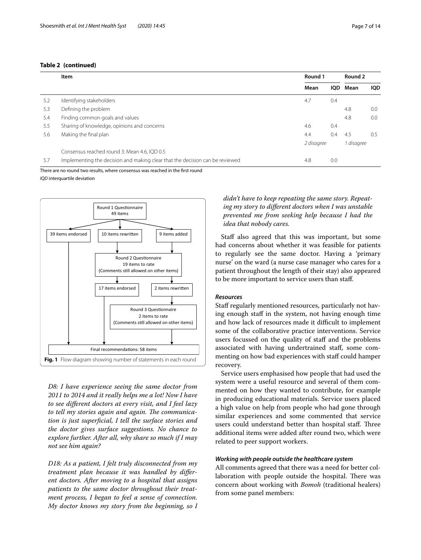#### **Table 2 (continued)**

|     | Item                                                                         | Round 1    |            | Round 2    |            |
|-----|------------------------------------------------------------------------------|------------|------------|------------|------------|
|     |                                                                              | Mean       | <b>IOD</b> | Mean       | <b>IOD</b> |
| 5.2 | Identifying stakeholders                                                     | 4.7        | 0.4        |            |            |
| 5.3 | Defining the problem                                                         |            |            | 4.8        | 0.0        |
| 5.4 | Finding common goals and values                                              |            |            | 4.8        | 0.0        |
| 5.5 | Sharing of knowledge, opinions and concerns                                  | 4.6        | 0.4        |            |            |
| 5.6 | Making the final plan                                                        | 4.4        | 0.4        | -4.5       | 0.5        |
|     |                                                                              | 2 disagree |            | 1 disagree |            |
|     | Consensus reached round 3: Mean 4.6, IQD 0.5                                 |            |            |            |            |
| 5.7 | Implementing the decision and making clear that the decision can be reviewed | 4.8        | 0.0        |            |            |

There are no round two results, where consensus was reached in the frst round

*IQD* interquartile deviation



<span id="page-6-0"></span>*D8: I have experience seeing the same doctor from 2011 to 2014 and it really helps me a lot! Now I have to see diferent doctors at every visit, and I feel lazy*  to tell my stories again and again. The communica*tion is just superfcial, I tell the surface stories and the doctor gives surface suggestions. No chance to explore further. After all, why share so much if I may not see him again?*

*D18: As a patient, I felt truly disconnected from my treatment plan because it was handled by diferent doctors. After moving to a hospital that assigns patients to the same doctor throughout their treatment process, I began to feel a sense of connection. My doctor knows my story from the beginning, so I* 

*didn't have to keep repeating the same story. Repeating my story to diferent doctors when I was unstable prevented me from seeking help because I had the idea that nobody cares.*

Staff also agreed that this was important, but some had concerns about whether it was feasible for patients to regularly see the same doctor. Having a 'primary nurse' on the ward (a nurse case manager who cares for a patient throughout the length of their stay) also appeared to be more important to service users than staf.

#### *Resources*

Staff regularly mentioned resources, particularly not having enough staff in the system, not having enough time and how lack of resources made it difficult to implement some of the collaborative practice interventions. Service users focussed on the quality of staff and the problems associated with having undertrained staf, some commenting on how bad experiences with staff could hamper recovery.

Service users emphasised how people that had used the system were a useful resource and several of them commented on how they wanted to contribute, for example in producing educational materials. Service users placed a high value on help from people who had gone through similar experiences and some commented that service users could understand better than hospital staff. Three additional items were added after round two, which were related to peer support workers.

#### *Working with people outside the healthcare system*

All comments agreed that there was a need for better collaboration with people outside the hospital. There was concern about working with *Bomoh* (traditional healers) from some panel members: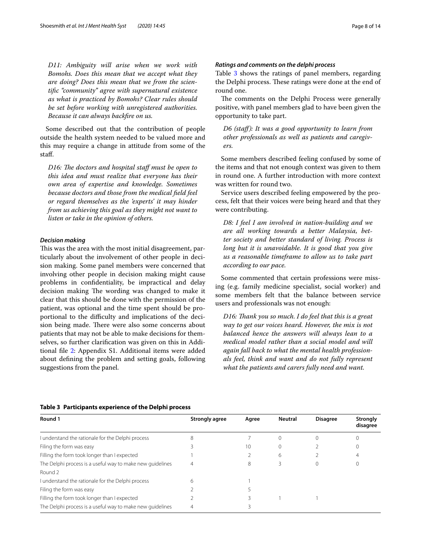*D11: Ambiguity will arise when we work with Bomohs. Does this mean that we accept what they are doing? Does this mean that we from the scientifc "community" agree with supernatural existence as what is practiced by Bomohs? Clear rules should be set before working with unregistered authorities. Because it can always backfre on us.*

Some described out that the contribution of people outside the health system needed to be valued more and this may require a change in attitude from some of the staf.

*D16: The doctors and hospital staff must be open to this idea and must realize that everyone has their own area of expertise and knowledge. Sometimes because doctors and those from the medical feld feel or regard themselves as the 'experts' it may hinder from us achieving this goal as they might not want to listen or take in the opinion of others.*

#### *Decision making*

This was the area with the most initial disagreement, particularly about the involvement of other people in decision making. Some panel members were concerned that involving other people in decision making might cause problems in confdentiality, be impractical and delay decision making The wording was changed to make it clear that this should be done with the permission of the patient, was optional and the time spent should be proportional to the difficulty and implications of the decision being made. There were also some concerns about patients that may not be able to make decisions for themselves, so further clarifcation was given on this in Additional fle [2:](#page-10-1) Appendix S1. Additional items were added about defning the problem and setting goals, following suggestions from the panel.

#### *Ratings and comments on the delphi process*

Table [3](#page-7-0) shows the ratings of panel members, regarding the Delphi process. These ratings were done at the end of round one.

The comments on the Delphi Process were generally positive, with panel members glad to have been given the opportunity to take part.

*D6 (staf): It was a good opportunity to learn from other professionals as well as patients and caregivers.*

Some members described feeling confused by some of the items and that not enough context was given to them in round one. A further introduction with more context was written for round two.

Service users described feeling empowered by the process, felt that their voices were being heard and that they were contributing.

*D8: I feel I am involved in nation-building and we are all working towards a better Malaysia, better society and better standard of living. Process is long but it is unavoidable. It is good that you give us a reasonable timeframe to allow us to take part according to our pace.*

Some commented that certain professions were missing (e.g. family medicine specialist, social worker) and some members felt that the balance between service users and professionals was not enough:

*D16: Tank you so much. I do feel that this is a great way to get our voices heard. However, the mix is not balanced hence the answers will always lean to a medical model rather than a social model and will again fall back to what the mental health professionals feel, think and want and do not fully represent what the patients and carers fully need and want.*

| Round 1                                                   | Strongly agree | Agree | <b>Neutral</b> | <b>Disagree</b> | <b>Strongly</b><br>disagree |
|-----------------------------------------------------------|----------------|-------|----------------|-----------------|-----------------------------|
| I understand the rationale for the Delphi process         | 8              |       |                |                 |                             |
| Filing the form was easy                                  |                | 10    |                |                 |                             |
| Filling the form took longer than I expected              |                |       | 6              |                 |                             |
| The Delphi process is a useful way to make new quidelines |                | 8     |                |                 |                             |
| Round 2                                                   |                |       |                |                 |                             |
| I understand the rationale for the Delphi process         | h              |       |                |                 |                             |
| Filing the form was easy                                  |                |       |                |                 |                             |
| Filling the form took longer than I expected              |                |       |                |                 |                             |
| The Delphi process is a useful way to make new quidelines |                |       |                |                 |                             |

#### <span id="page-7-0"></span>**Table 3 Participants experience of the Delphi process**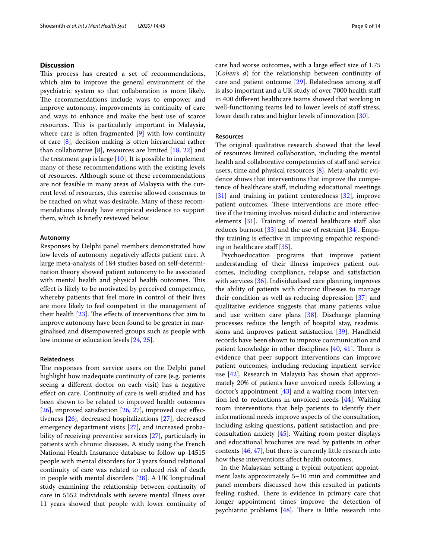#### **Discussion**

This process has created a set of recommendations, which aim to improve the general environment of the psychiatric system so that collaboration is more likely. The recommendations include ways to empower and improve autonomy, improvements in continuity of care and ways to enhance and make the best use of scarce resources. This is particularly important in Malaysia, where care is often fragmented [\[9](#page-11-5)] with low continuity of care [\[8](#page-11-4)], decision making is often hierarchical rather than collaborative [\[8](#page-11-4)], resources are limited [[18,](#page-11-14) [22](#page-11-18)] and the treatment gap is large [\[10](#page-11-6)]. It is possible to implement many of these recommendations with the existing levels of resources. Although some of these recommendations are not feasible in many areas of Malaysia with the current level of resources, this exercise allowed consensus to be reached on what was desirable. Many of these recommendations already have empirical evidence to support them, which is briefy reviewed below.

#### **Autonomy**

Responses by Delphi panel members demonstrated how low levels of autonomy negatively afects patient care. A large meta-analysis of 184 studies based on self-determination theory showed patient autonomy to be associated with mental health and physical health outcomes. This efect is likely to be motivated by perceived competence, whereby patients that feel more in control of their lives are more likely to feel competent in the management of their health  $[23]$  $[23]$ . The effects of interventions that aim to improve autonomy have been found to be greater in marginalised and disempowered groups such as people with low income or education levels [\[24](#page-11-20), [25\]](#page-11-21).

#### **Relatedness**

The responses from service users on the Delphi panel highlight how inadequate continuity of care (e.g. patients seeing a diferent doctor on each visit) has a negative efect on care. Continuity of care is well studied and has been shown to be related to improved health outcomes [ $26$ ], improved satisfaction [ $26$ ,  $27$ ], improved cost effectiveness [[26\]](#page-11-22), decreased hospitalizations [[27\]](#page-11-23), decreased emergency department visits [[27](#page-11-23)], and increased probability of receiving preventive services [[27](#page-11-23)], particularly in patients with chronic diseases. A study using the French National Health Insurance database to follow up 14515 people with mental disorders for 3 years found relational continuity of care was related to reduced risk of death in people with mental disorders [[28](#page-11-24)]. A UK longitudinal study examining the relationship between continuity of care in 5552 individuals with severe mental illness over 11 years showed that people with lower continuity of care had worse outcomes, with a large efect size of 1.75 (*Cohen's d*) for the relationship between continuity of care and patient outcome [\[29\]](#page-11-25). Relatedness among staf is also important and a UK study of over 7000 health staf in 400 diferent healthcare teams showed that working in well-functioning teams led to lower levels of staff stress, lower death rates and higher levels of innovation [\[30\]](#page-11-26).

#### **Resources**

The original qualitative research showed that the level of resources limited collaboration, including the mental health and collaborative competencies of staff and service users, time and physical resources [[8](#page-11-4)]. Meta-analytic evidence shows that interventions that improve the competence of healthcare staf, including educational meetings [[31\]](#page-11-27) and training in patient centeredness [\[32](#page-11-28)], improve patient outcomes. These interventions are more effective if the training involves mixed didactic and interactive elements  $[31]$ . Training of mental healthcare staff also reduces burnout [[33\]](#page-11-29) and the use of restraint [[34\]](#page-11-30). Empathy training is efective in improving empathic respond-ing in healthcare staff [[35\]](#page-11-31).

Psychoeducation programs that improve patient understanding of their illness improves patient outcomes, including compliance, relapse and satisfaction with services [[36\]](#page-11-32). Individualised care planning improves the ability of patients with chronic illnesses to manage their condition as well as reducing depression [[37](#page-12-0)] and qualitative evidence suggests that many patients value and use written care plans [[38\]](#page-12-1). Discharge planning processes reduce the length of hospital stay, readmissions and improves patient satisfaction [[39](#page-12-2)]. Handheld records have been shown to improve communication and patient knowledge in other disciplines  $[40, 41]$  $[40, 41]$  $[40, 41]$  $[40, 41]$  $[40, 41]$ . There is evidence that peer support interventions can improve patient outcomes, including reducing inpatient service use [\[42](#page-12-5)]. Research in Malaysia has shown that approximately 20% of patients have unvoiced needs following a doctor's appointment  $[43]$  $[43]$  $[43]$  and a waiting room intervention led to reductions in unvoiced needs [[44\]](#page-12-7). Waiting room interventions that help patients to identify their informational needs improve aspects of the consultation, including asking questions, patient satisfaction and preconsultation anxiety [[45\]](#page-12-8). Waiting room poster displays and educational brochures are read by patients in other contexts [[46](#page-12-9), [47\]](#page-12-10), but there is currently little research into how these interventions afect health outcomes.

In the Malaysian setting a typical outpatient appointment lasts approximately 5–10 min and committee and panel members discussed how this resulted in patients feeling rushed. There is evidence in primary care that longer appointment times improve the detection of psychiatric problems  $[48]$  $[48]$ . There is little research into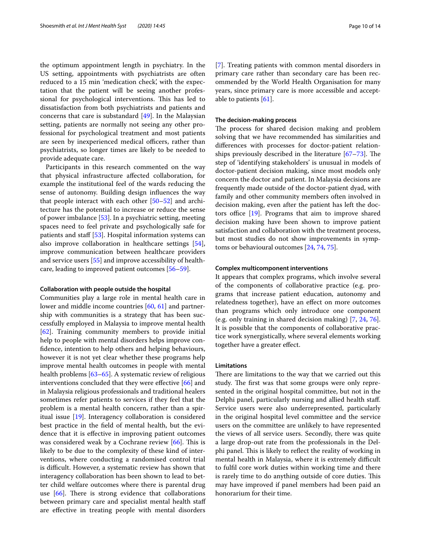the optimum appointment length in psychiatry. In the US setting, appointments with psychiatrists are often reduced to a 15 min 'medication check', with the expectation that the patient will be seeing another professional for psychological interventions. This has led to dissatisfaction from both psychiatrists and patients and concerns that care is substandard [[49](#page-12-12)]. In the Malaysian setting, patients are normally not seeing any other professional for psychological treatment and most patients are seen by inexperienced medical officers, rather than psychiatrists, so longer times are likely to be needed to provide adequate care.

Participants in this research commented on the way that physical infrastructure afected collaboration, for example the institutional feel of the wards reducing the sense of autonomy. Building design infuences the way that people interact with each other [\[50](#page-12-13)[–52\]](#page-12-14) and architecture has the potential to increase or reduce the sense of power imbalance [\[53](#page-12-15)]. In a psychiatric setting, meeting spaces need to feel private and psychologically safe for patients and staff [[53](#page-12-15)]. Hospital information systems can also improve collaboration in healthcare settings [\[54](#page-12-16)], improve communication between healthcare providers and service users [\[55](#page-12-17)] and improve accessibility of healthcare, leading to improved patient outcomes [[56](#page-12-18)[–59](#page-12-19)].

#### **Collaboration with people outside the hospital**

Communities play a large role in mental health care in lower and middle income countries [\[60](#page-12-20), [61\]](#page-12-21) and partnership with communities is a strategy that has been successfully employed in Malaysia to improve mental health [[62\]](#page-12-22). Training community members to provide initial help to people with mental disorders helps improve confdence, intention to help others and helping behaviours, however it is not yet clear whether these programs help improve mental health outcomes in people with mental health problems [\[63](#page-12-23)[–65\]](#page-12-24). A systematic review of religious interventions concluded that they were efective [[66\]](#page-12-25) and in Malaysia religious professionals and traditional healers sometimes refer patients to services if they feel that the problem is a mental health concern, rather than a spiritual issue [[19\]](#page-11-15). Interagency collaboration is considered best practice in the feld of mental health, but the evidence that it is efective in improving patient outcomes was considered weak by a Cochrane review  $[66]$  $[66]$ . This is likely to be due to the complexity of these kind of interventions, where conducting a randomised control trial is difficult. However, a systematic review has shown that interagency collaboration has been shown to lead to better child welfare outcomes where there is parental drug use  $[66]$  $[66]$  $[66]$ . There is strong evidence that collaborations between primary care and specialist mental health staf are efective in treating people with mental disorders [[7\]](#page-11-3). Treating patients with common mental disorders in primary care rather than secondary care has been recommended by the World Health Organisation for many years, since primary care is more accessible and acceptable to patients [\[61](#page-12-21)].

#### **The decision‑making process**

The process for shared decision making and problem solving that we have recommended has similarities and diferences with processes for doctor-patient relationships previously described in the literature  $[67-73]$  $[67-73]$ . The step of 'identifying stakeholders' is unusual in models of doctor-patient decision making, since most models only concern the doctor and patient. In Malaysia decisions are frequently made outside of the doctor-patient dyad, with family and other community members often involved in decision making, even after the patient has left the doctors office  $[19]$ . Programs that aim to improve shared decision making have been shown to improve patient satisfaction and collaboration with the treatment process, but most studies do not show improvements in symptoms or behavioural outcomes [\[24,](#page-11-20) [74](#page-12-28), [75\]](#page-12-29).

#### **Complex multicomponent interventions**

It appears that complex programs, which involve several of the components of collaborative practice (e.g. programs that increase patient education, autonomy and relatedness together), have an efect on more outcomes than programs which only introduce one component (e.g. only training in shared decision making) [\[7](#page-11-3), [24](#page-11-20), [76](#page-12-30)]. It is possible that the components of collaborative practice work synergistically, where several elements working together have a greater efect.

#### **Limitations**

There are limitations to the way that we carried out this study. The first was that some groups were only represented in the original hospital committee, but not in the Delphi panel, particularly nursing and allied health staf. Service users were also underrepresented, particularly in the original hospital level committee and the service users on the committee are unlikely to have represented the views of all service users. Secondly, there was quite a large drop-out rate from the professionals in the Delphi panel. This is likely to reflect the reality of working in mental health in Malaysia, where it is extremely difficult to fulfl core work duties within working time and there is rarely time to do anything outside of core duties. This may have improved if panel members had been paid an honorarium for their time.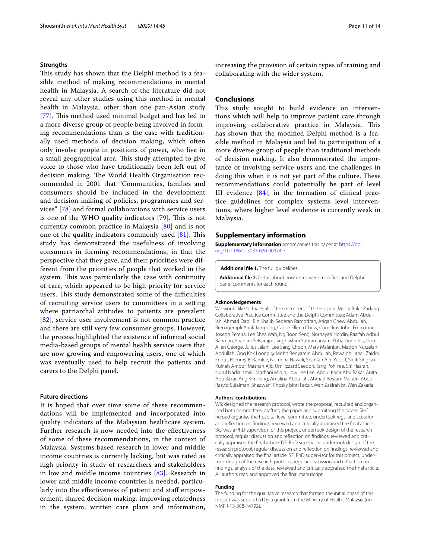#### **Strengths**

This study has shown that the Delphi method is a feasible method of making recommendations in mental health in Malaysia. A search of the literature did not reveal any other studies using this method in mental health in Malaysia, other than one pan-Asian study [[77](#page-12-31)]. This method used minimal budget and has led to a more diverse group of people being involved in forming recommendations than is the case with traditionally used methods of decision making, which often only involve people in positions of power, who live in a small geographical area. This study attempted to give voice to those who have traditionally been left out of decision making. The World Health Organisation recommended in 2001 that "Communities, families and consumers should be included in the development and decision-making of policies, programmes and services" [\[78](#page-12-32)] and formal collaborations with service users is one of the WHO quality indicators  $[79]$ . This is not currently common practice in Malaysia [[80](#page-12-34)] and is not one of the quality indicators commonly used  $[81]$  $[81]$  $[81]$ . This study has demonstrated the usefulness of involving consumers in forming recommendations, in that the perspective that they gave, and their priorities were different from the priorities of people that worked in the system. This was particularly the case with continuity of care, which appeared to be high priority for service users. This study demonstrated some of the difficulties of recruiting service users to committees in a setting where patriarchal attitudes to patients are prevalent [[82](#page-13-1)], service user involvement is not common practice and there are still very few consumer groups. However, the process highlighted the existence of informal social media-based groups of mental health service users that are now growing and empowering users, one of which was eventually used to help recruit the patients and carers to the Delphi panel.

#### **Future directions**

It is hoped that over time some of these recommendations will be implemented and incorporated into quality indicators of the Malaysian healthcare system. Further research is now needed into the efectiveness of some of these recommendations, in the context of Malaysia. Systems based research in lower and middle income countries is currently lacking, but was rated as high priority in study of researchers and stakeholders in low and middle income countries [[83](#page-13-2)]. Research in lower and middle income countries is needed, particularly into the effectiveness of patient and staff empowerment, shared decision making, improving relatedness in the system, written care plans and information,

increasing the provision of certain types of training and collaborating with the wider system.

#### **Conclusions**

This study sought to build evidence on interventions which will help to improve patient care through improving collaborative practice in Malaysia. This has shown that the modifed Delphi method is a feasible method in Malaysia and led to participation of a more diverse group of people than traditional methods of decision making. It also demonstrated the importance of involving service users and the challenges in doing this when it is not yet part of the culture. These recommendations could potentially be part of level III evidence [\[84](#page-13-3)], in the formation of clinical practice guidelines for complex systems level interventions, where higher level evidence is currently weak in Malaysia.

#### **Supplementary information**

**Supplementary information** accompanies this paper at [https://doi.](https://doi.org/10.1186/s13033-020-00374-7) [org/10.1186/s13033-020-00374-7](https://doi.org/10.1186/s13033-020-00374-7).

<span id="page-10-1"></span><span id="page-10-0"></span>**Additional fle 1.** The full guidelines.

**Additional fle 2.** Detail about how items were modifed and Delphi panel comments for each round.

#### **Acknowledgements**

We would like to thank all of the members of the Hospital Mesra Bukit Padang Collaborative Practice Committee and the Delphi Committee: Adam Abdullah, Ahmad Qabil Bin Khalib, Segeran Ramodran, Atiqah Chew Abdullah, Brenagempli Anak Jampong, Cassie Ellena Chew, Cornelius John, Emmanuel Joseph Pereira, Lee Shea Wah, Ng Boon Seng, Norhayati Nordin, Razifah Adbul Rahman, Shahlini Selvarajoo, Sughashini Subramaniam, Ebba Gondilou, Geo Allen George, Julius Jalani, Lee Sang Choon, Mary Malanjun, Matron Nurzelah Abdullah, Ong Kok Loong @ Mohd Benyamin Abdullah, Rewajoh Lahai, Zaidin Endut, Rommy B. Ramlee, Nurmina Nawali, Sharifah Aini Yusof, Sidik Singkak, Kulnah Ambor, Masnah Ajis, Umi Izzatti Saedon, Tang Poh Yee, Siti Hazrah, Nurul Nadia Ismail, Marhani Midin, Low Lee Lan, Abdul Kadir Abu Bakar, Anita Abu Bakar, Ang Kim Teng, Amalina Abdullah, Ahmad Rostam Md Zin, Abdul Rasyid Sulaiman, Shazwani Rhosky binti Fadzir, Wan Zakirah bt. Wan Zakaria.

#### **Authors' contributions**

WS: designed the research protocol, wrote the proposal, recruited and organised both committees, drafting the paper and submitting the paper. SHC: helped organise the hospital level committee, undertook regular discussion and refection on fndings, reviewed and critically appraised the fnal article. BG: was a PhD supervisor for this project, undertook design of the research protocol, regular discussion and refection on fndings, reviewed and critically appraised the fnal article. DF: PhD supervisor, undertook design of the research protocol, regular discussion and refection on fndings, reviewed and critically appraised the fnal article. SF: PhD supervisor for this project, undertook design of the research protocol, regular discussion and refection on fndings, analysis of the data, reviewed and critically appraised the fnal article. All authors read and approved the fnal manuscript.

#### **Funding**

The funding for the qualitative research that formed the initial phase of this project was supported by a grant from the Ministry of Health, Malaysia (no. NMRR-13-308-14792).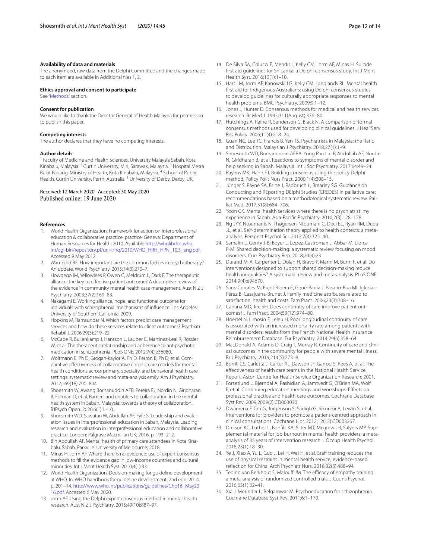#### **Availability of data and materials**

The anonymised, raw data from the Delphi Committee and the changes made to each item are available in Additional fles [1](#page-10-0), [2.](#page-10-1)

#### **Ethics approval and consent to participate**

See "[Methods](#page-1-0)" section.

#### **Consent for publication**

We would like to thank the Director General of Health Malaysia for permission to publish this paper.

#### **Competing interests**

The author declares that they have no competing interests.

#### **Author details**

<sup>1</sup> Faculty of Medicine and Health Sciences, University Malaysia Sabah, Kota Kinabalu, Malaysia. <sup>2</sup> Curtin University, Miri, Sarawak, Malaysia. 3 Hospital Mesra Bukit Padang, Ministry of Health, Kota Kinabalu, Malaysia. <sup>4</sup> School of Public Health, Curtin University, Perth, Australia.<sup>5</sup> University of Derby, Derby, UK.

# Received: 12 March 2020 Accepted: 30 May 2020<br>Published online: 19 June 2020

#### **References**

- <span id="page-11-0"></span>1. World Health Organization. Framework for action on interprofessional education & collaborative practice. practice. Geneva: Department of Human Resources for Health; 2010. Available [http://whqlibdoc.who.](http://whqlibdoc.who.int/cgi-bin/repository.pl%3furl%3d/hq/2010/WHO_HRH_HPN_10.3_eng.pdf) int/cgi-bin/repository.pl?url=[/hq/2010/WHO\\_HRH\\_HPN\\_10.3\\_eng.pdf.](http://whqlibdoc.who.int/cgi-bin/repository.pl%3furl%3d/hq/2010/WHO_HRH_HPN_10.3_eng.pdf) Accessed 9 May 2012.
- <span id="page-11-1"></span>2. Wampold BE. How important are the common factors in psychotherapy? An update. World Psychiatry. 2015;14(3):270–7.
- 3. Howgego IM, Yellowlees P, Owen C, Meldrum L, Dark F. The therapeutic alliance: the key to efective patient outcome? A descriptive review of the evidence in community mental health case management. Aust N Z J Psychiatry. 2003;37(2):169–83.
- 4. Nakagami E. Working alliance, hope, and functional outcome for individuals with schizophrenia: mechanisms of infuence. Los Angeles: University of Southern California; 2009.
- 5. Hopkins M, Ramsundar N. Which factors predict case management services and how do these services relate to client outcomes? Psychiatr Rehabil J. 2006;29(3):219–22.
- <span id="page-11-2"></span>6. McCabe R, Bullenkamp J, Hansson L, Lauber C, Martinez-Leal R, Rössler W, et al. The therapeutic relationship and adherence to antipsychotic medication in schizophrenia. PLoS ONE. 2012;7(4):e36080.
- <span id="page-11-3"></span>7. Woltmann E, Ph D, Grogan-kaylor A, Ph D, Perron B, Ph D, et al. Comparative efectiveness of collaborative chronic care models for mental health conditions across primary, specialty, and behavioral health care settings: systematic review and meta-analysis emily. Am J Psychiatry. 2012;169(18):790–804.
- <span id="page-11-4"></span>8. Shoesmith W, Awang Borhanuddin AFB, Pereira EJ, Nordin N, Giridharan B, Forman D, et al. Barriers and enablers to collaboration in the mental health system in Sabah, Malaysia: towards a theory of collaboration. BJPsych Open. 2020;6(1):1–10.
- <span id="page-11-5"></span>9. Shoesmith WD, Sawatan W, Abdullah AF, Fyfe S. Leadership and evaluation issues in interprofessional education in Sabah, Malaysia. Leading research and evaluation in interprofessional education and collaborative practice. London: Palgrave Macmillan UK; 2016. p. 193–212.
- <span id="page-11-6"></span>10. Bin Abdullah AF. Mental health of primary care attendees in Kota Kinabalu, Sabah. Parkville: University of Melbourne; 2018.
- <span id="page-11-7"></span>11. Minas H, Jorm AF. Where there is no evidence: use of expert consensus methods to fll the evidence gap in low-income countries and cultural minorities. Int J Ment Health Syst. 2010;4(1):33.
- <span id="page-11-8"></span>12. World Health Organization. Decision-making for guideline development at WHO. In: WHO handbook for guideline development, 2nd edn; 2014. p. 201–14. [http://www.who.int/publications/guidelines/Chp16\\_May20](http://www.who.int/publications/guidelines/Chp16_May2016.pdf) [16.pdf](http://www.who.int/publications/guidelines/Chp16_May2016.pdf). Accessed 6 May 2020.
- <span id="page-11-9"></span>13. Jorm AF. Using the Delphi expert consensus method in mental health research. Aust N Z J Psychiatry. 2015;49(10):887–97.
- <span id="page-11-10"></span>14. De Silva SA, Colucci E, Mendis J, Kelly CM, Jorm AF, Minas H. Suicide frst aid guidelines for Sri Lanka: a Delphi consensus study. Int J Ment Health Syst. 2016;10(1):1–10.
- <span id="page-11-11"></span>15. Hart LM, Jorm AF, Kanowski LG, Kelly CM, Langlands RL. Mental health frst aid for Indigenous Australians: using Delphi consensus studies to develop guidelines for culturally appropriate responses to mental health problems. BMC Psychiatry. 2009;9:1–12.
- <span id="page-11-12"></span>16. Jones J, Hunter D. Consensus methods for medical and health services research. Br Med J. 1995;311(August):376–80.
- <span id="page-11-13"></span>17. Hutchings A, Raine R, Sanderson C, Black N. A comparison of formal consensus methods used for developing clinical guidelines. J Heal Serv Res Policy. 2006;11(4):218–24.
- <span id="page-11-14"></span>18. Guan NC, Lee TC, Francis B, Yen TS. Psychiatrists in Malaysia: the Ratio and Distribution. Malaysian J Psychiatry. 2018;27(1):1–9.
- <span id="page-11-15"></span>19. Shoesmith WD, Borhanuddin AFBA, Yong Pau Lin P, Abdullah AF, Nordin N, Giridharan B, et al. Reactions to symptoms of mental disorder and help seeking in Sabah, Malaysia. Int J Soc Psychiatry. 2017;64:49–54.
- <span id="page-11-16"></span>20. Rayens MK, Hahn EJ. Building consensus using the policy Delphi method. Policy Polit Nurs Pract. 2000;1(4):308–15.
- <span id="page-11-17"></span>21. Jünger S, Payne SA, Brine J, Radbruch L, Brearley SG. Guidance on Conducting and REporting DElphi Studies (CREDES) in palliative care: recommendations based on a methodological systematic review. Palliat Med. 2017;31(8):684–706.
- <span id="page-11-18"></span>22. Yoon CK. Mental health services where there is no psychiatrist: my experience in Sabah. Asia-Pacifc Psychiatry. 2010;2(3):128–128.
- <span id="page-11-19"></span>23. Ng JYY, Ntoumanis N, Thøgersen-Ntoumani C, Deci EL, Ryan RM, Duda JL, et al. Self-determination theory applied to health contexts: a metaanalysis. Perspect Psychol Sci. 2012;7(4):325–40.
- <span id="page-11-20"></span>24. Samalin L, Genty J-B, Boyer L, Lopez-Castroman J, Abbar M, Llorca P-M. Shared decision-making: a systematic review focusing on mood disorders. Curr Psychiatry Rep. 2018;20(4):23.
- <span id="page-11-21"></span>25. Durand M-A, Carpenter L, Dolan H, Bravo P, Mann M, Bunn F, et al. Do interventions designed to support shared decision-making reduce health inequalities? A systematic review and meta-analysis. PLoS ONE. 2014;9(4):e94670.
- <span id="page-11-22"></span>26. Sans-Corrales M, Pujol-Ribera E, Gené-Badia J, Pasarín-Rua MI, Iglesias-Pérez B, Casajuana-Brunet J. Family medicine attributes related to satisfaction, health and costs. Fam Pract. 2006;23(3):308–16.
- <span id="page-11-23"></span>27. Cabana MD, Jee SH. Does continuity of care improve patient outcomes? J Fam Pract. 2004;53(12):974–80.
- <span id="page-11-24"></span>28. Hoertel N, Limosin F, Leleu H. Poor longitudinal continuity of care is associated with an increased mortality rate among patients with mental disorders: results from the French National Health Insurance Reimbursement Database. Eur Psychiatry. 2014;29(6):358–64.
- <span id="page-11-25"></span>29. MacDonald A, Adamis D, Craig T, Murray R. Continuity of care and clinical outcomes in the community for people with severe mental illness. Br J Psychiatry. 2019;214(5):273–8.
- <span id="page-11-26"></span>30. Borrill CS, Carletta J, Carter AJ, Dawson JF, Garrod S, Rees A, et al. The efectiveness of health care teams in the National Health Service Report. Aston Centre for Health Service Organization Research; 2001.
- <span id="page-11-27"></span>31. Forsetlund L, Bjørndal A, Rashidian A, Jamtvedt G, O'Brien MA, Wolf F, et al. Continuing education meetings and workshops: Efects on professional practice and health care outcomes. Cochrane Database Syst Rev. 2009;2009(2):CD003030.
- <span id="page-11-28"></span>32. Dwamena F, Cm G, Jorgenson S, Sadigh G, Sikorskii A, Lewin S, et al. Interventions for providers to promote a patient-centred approach in clinical consultations. Cochrane Libr. 2012;12(12):CD003267.
- <span id="page-11-29"></span>33. Dreison KC, Luther L, Bonfls KA, Sliter MT, Mcgrew JH, Salyers MP. Supplemental material for job burnout in mental health providers: a metaanalysis of 35 years of intervention research. J Occup Health Psychol. 2018;23(1):18–30.
- <span id="page-11-30"></span>34. Ye J, Xiao A, Yu L, Guo J, Lei H, Wei H, et al. Staff training reduces the use of physical restraint in mental health service, evidence-based refection for China. Arch Psychiatr Nurs. 2018;32(3):488–94.
- <span id="page-11-31"></span>35. Teding van Berkhout E, Malouff JM. The efficacy of empathy training: a meta-analysis of randomized controlled trials. J Couns Psychol. 2016;63(1):32–41.
- <span id="page-11-32"></span>36. Xia J, Merinder L, Belgamwar M. Psychoeducation for schizophrenia. Cochrane Database Syst Rev. 2011;6:1–170.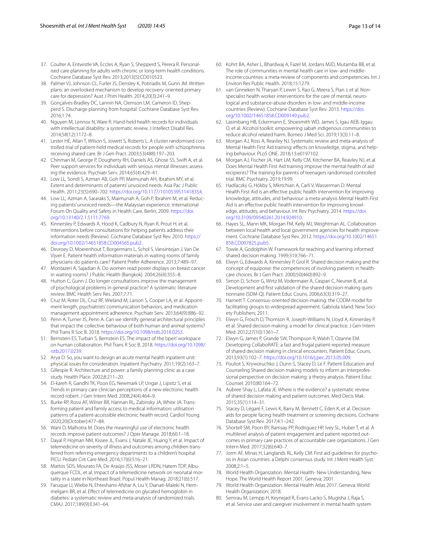- <span id="page-12-0"></span>37. Coulter A, Entwistle VA, Eccles A, Ryan S, Shepperd S, Perera R. Personalised care planning for adults with chronic or long-term health conditions. Cochrane Database Syst Rev. 2013;2013(5):CD010523.
- <span id="page-12-1"></span>38. Palmer VJ, Johnson CL, Furler JS, Densley K, Potiriadis M, Gunn JM. Written plans: an overlooked mechanism to develop recovery-oriented primary care for depression? Aust J Prim Health. 2014;20(3):241–9.
- <span id="page-12-2"></span>39. Gonçalves-Bradley DC, Lannin NA, Clemson LM, Cameron ID, Shepperd S. Discharge planning from hospital. Cochrane Database Syst Rev. 2016;1:74.
- <span id="page-12-3"></span>40. Nguyen M, Lennox N, Ware R. Hand-held health records for individuals with intellectual disability: a systematic review. J Intellect Disabil Res. 2014;58(12):1172–8.
- <span id="page-12-4"></span>41. Lester HE, Allan T, Wilson S, Jowett S, Roberts L. A cluster randomised controlled trial of patient-held medical records for people with schizophrenia receiving shared care. Br J Gen Pract. 2003;53(488):197–203.
- <span id="page-12-5"></span>42. Chinman M, George P, Dougherty RH, Daniels AS, Ghose SS, Swift A, et al. Peer support services for individuals with serious mental illnesses: assessing the evidence. Psychiatr Serv. 2014;65(4):429–41.
- <span id="page-12-6"></span>43. Low LL, Sondi S, Azman AB, Goh PP, Maimunah AH, Ibrahim MY, et al. Extent and determinants of patients' unvoiced needs. Asia Pac J Public Health. 2011;23(5):690–702. [https://doi.org/10.1177/1010539511418354.](https://doi.org/10.1177/1010539511418354)
- <span id="page-12-7"></span>44. Low LL, Azman A, Sararaks S, Maimunah A, Goh P, Ibrahim M, et al. Reducing patients' unvoiced needs—the Malaysian experience. International Forum On Quality and Safety in Health Care, Berlin, 2009. [https://doi.](https://doi.org/10.13140/2.1.5111.7769) [org/10.13140/2.1.5111.7769.](https://doi.org/10.13140/2.1.5111.7769)
- <span id="page-12-8"></span>45. Kinnersley P, Edwards A, Hood K, Cadbury N, Ryan R, Prout H, et al. Interventions before consultations for helping patients address their information needs (Review). Cochrane Database Syst Rev. 2010. [https://](https://doi.org/10.1002/14651858.CD004565.pub2) [doi.org/10.1002/14651858.CD004565.pub2](https://doi.org/10.1002/14651858.CD004565.pub2).
- <span id="page-12-9"></span>46. Devroey D, Moerenhout T, Borgermans L, Schol S, Vansintejan J, Van De Vijver E. Patient health information materials in waiting rooms of family physicians: do patients care? Patient Prefer Adherence. 2013;7:489–97.
- <span id="page-12-10"></span>47. Montazeri A, Sajadian A. Do women read poster displays on breast cancer in waiting rooms? J Public Health (Bangkok). 2004;26(4):355–8.
- <span id="page-12-11"></span>48. Hutton C, Gunn J. Do longer consultations improve the management of psychological problems in general practice? A systematic literature review. BMC Health Serv Res. 2007;7:71.
- <span id="page-12-12"></span>49. Cruz M, Roter DL, Cruz RF, Wieland M, Larson S, Cooper LA, et al. Appointment length, psychiatrists' communication behaviors, and medication management appointment adherence. Psychiatr Serv. 2013;64(9):886–92.
- <span id="page-12-13"></span>50. Penn A, Turner JS, Penn A. Can we identify general architectural principles that impact the collective behaviour of both human and animal systems? Phil Trans R Soc B. 2018.<https://doi.org/10.1098/rstb.2018.0253>.
- 51. Bernstein ES, Turban S, Bernstein ES. The impact of the 'open' workspace on human collaboration. Phil Trans R Soc B. 2018. [https://doi.org/10.1098/](https://doi.org/10.1098/rstb.2017.0239) [rstb.2017.0239.](https://doi.org/10.1098/rstb.2017.0239)
- <span id="page-12-14"></span>52. Arya D. So, you want to design an acute mental health inpatient unit: physical issues for consideration. Inpatient Psychiatry. 2011;19(2):163–7.
- <span id="page-12-15"></span>53. Gillespie R. Architecture and power: a family planning clinic as a case study. Health Place. 2002;8:211–20.
- <span id="page-12-16"></span>54. El-kareh R, Gandhi TK, Poon EG, Newmark LP, Ungar J, Lipsitz S, et al. Trends in primary care clinician perceptions of a new electronic health record robert. J Gen Intern Med. 2008;24(4):464–9.
- <span id="page-12-17"></span>55. Burke RP, Rossi AF, Wilner BR, Hannan RL, Zabinsky JA, White JA. Transforming patient and family access to medical information: utilisation patterns of a patient-accessible electronic health record. Cardiol Young. 2020;20(October):477–84.
- <span id="page-12-18"></span>56. Wani D, Malhotra M. Does the meaningful use of electronic health records improve patient outcomes? J Oper Manage. 2018;60:1–18.
- 57. Dayal P, Hojman NM, Kissee JL, Evans J, Natale JE, Huang Y, et al. Impact of telemedicine on severity of illness and outcomes among children transferred from referring emergency departments to a children's hospital PICU. Pediatr Crit Care Med. 2016;17(6):516–21.
- 58. Mattos SDS, Mourato FA, De Araújo JSS, Moser LRDN, Hatem TDP, Albuquerque FCDL, et al. Impact of a telemedicine network on neonatal mortality in a state in Northeast Brazil. Popul Health Manag. 2018;21(6):517.
- <span id="page-12-19"></span>59. Faruque LI, Wiebe N, Ehteshami-Afshar A, Liu Y, Dianati-Maleki N, Hemmelgarn BR, et al. Efect of telemedicine on glycated hemoglobin in diabetes: a systematic review and meta-analysis of randomized trials. CMAJ. 2017;189(9):E341–64.
- <span id="page-12-20"></span>60. Kohrt BA, Asher L, Bhardwaj A, Fazel M, Jordans MJD, Mutamba BB, et al. The role of communities in mental health care in low- and middleincome countries: a meta-review of components and competencies. Int J Environ Res Public Health. 2018;15:1279.
- <span id="page-12-21"></span>61. van Ginneken N, Tharyan P, Lewin S, Rao G, Meera S, Pian J, et al. Nonspecialist health worker interventions for the care of mental, neurological and substance-abuse disorders in low- and middle-income countries (Review). Cochrane Database Syst Rev. 2013. [https://doi.](https://doi.org/10.1002/14651858.CD009149.pub2) [org/10.1002/14651858.CD009149.pub2](https://doi.org/10.1002/14651858.CD009149.pub2).
- <span id="page-12-22"></span>62. Lasimbang HB, Eckermann E, Shoesmith WD, James S, Igau AEB, Iggau O, et al. Alcohol toolkit: empowering sabah indigenous communities to reduce alcohol related harm. Borneo J Med Sci. 2019;13(3):11–8.
- <span id="page-12-23"></span>63. Morgan AJ, Ross A, Reavley NJ. Systematic review and meta-analysis of Mental Health First Aid training: effects on knowledge, stigma, and helping behaviour. PLoS ONE. 2018;13:e0197102.
- 64. Morgan AJ, Fischer JA, Hart LM, Kelly CM, Kitchener BA, Reavley NJ, et al. Does Mental Health First Aid training improve the mental health of aid recipients? The training for parents of teenagers randomised controlled trial. BMC Psychiatry. 2019;19:99.
- <span id="page-12-24"></span>65. Hadlaczky G, Hökby S, Mkrtchian A, Carli V, Wasserman D. Mental Health First Aid is an efective public health intervention for improving knowledge, attitudes, and behaviour: a meta-analysis Mental Health First Aid is an efective public health intervention for improving knowledge, attitudes, and behaviour. Int Rev Psychiatry. 2014. [https://doi.](https://doi.org/10.3109/09540261.2014.924910) [org/10.3109/09540261.2014.924910.](https://doi.org/10.3109/09540261.2014.924910)
- <span id="page-12-25"></span>66. Hayes SL, Mann MK, Morgan FM, Kelly MJ, Weightman AL. Collaboration between local health and local government agencies for health improvement. Cochrane Database Syst Rev. 2012. [https://doi.org/10.1002/14651](https://doi.org/10.1002/14651858.CD007825.pub5) [858.CD007825.pub5](https://doi.org/10.1002/14651858.CD007825.pub5).
- <span id="page-12-26"></span>67. Towle A, Godolphin W. Framework for teaching and learning informed shared decision making. 1999;319:766–71.
- 68. Elwyn G, Edwards A, Kinnersley P, Grol R. Shared decision making and the concept of equipoise: the competences of involving patients in healthcare choices. Br J Gen Pract. 2000;50(460):892–9.
- 69. Simon D, Schorr G, Wirtz M, Vodermaier A, Caspari C, Neuner B, et al. Development and frst validation of the shared decision-making questionnaire (SDM-Q). Patient Educ Couns. 2006;63(3):319–27.
- 70. Harnett T. Consensus-oriented decision-making: the CODM model for facilitating groups to widespread agreement. Gabriola Island: New Society Publishers; 2011.
- 71. Elwyn G, Frosch D, Thomson R, Joseph-Williams N, Lloyd A, Kinnersley P, et al. Shared decision making: a model for clinical practice. J Gen Intern Med. 2012;27(10):1361–7.
- 72. Elwyn G, James P, Grande SW, Thompson R, Walsh T, Ozanne EM. Developing CollaboRATE: a fast and frugal patient-reported measure of shared decision making in clinical encounters. Patient Educ Couns. 2013;93(1):102–7. [https://doi.org/10.1016/j.pec.2013.05.009.](https://doi.org/10.1016/j.pec.2013.05.009)
- <span id="page-12-27"></span>73. Pouliot S, Kryworuchko J, Dunn S, Stacey D, Le F. Patient Education and Counseling Shared decision making models to inform an interprofessional perspective on decision making: a theory analysis. Patient Educ Counsel. 2010;80:164–72.
- <span id="page-12-28"></span>74. Aubree Shay L, Lafata JE. Where is the evidence? a systematic review of shared decision making and patient outcomes. Med Decis Mak. 2015;35(1):114–31.
- <span id="page-12-29"></span>75. Stacey D, Légaré F, Lewis K, Barry M, Bennett C, Eden K, et al. Decision aids for people facing health treatment or screening decisions. Cochrane Database Syst Rev. 2017;4:1–242.
- <span id="page-12-30"></span>76. Shortell SM, Poon BY, Ramsay PP, Rodriguez HP, Ivey SL, Huber T, et al. A multilevel analysis of patient engagement and patient-reported outcomes in primary care practices of accountable care organizations. J Gen Intern Med. 2017;32(6):640–7.
- <span id="page-12-31"></span>77. Jorm AF, Minas H, Langlands RL, Kelly CM. First aid guidelines for psychosis in Asian countries: a Delphi consensus study. Int J Ment Health Syst.  $2008:2:1-5$
- <span id="page-12-32"></span>78. World Health Organization. Mental Health- New Understanding, New Hope. The World Health Report 2001. Geneva; 2001.
- <span id="page-12-33"></span>79. World Health Organization. Mental Health Atlas 2017. Geneva: World Health Organization; 2018.
- <span id="page-12-34"></span>80. Semrau M, Lempp H, Keynejad R, Evans-Lacko S, Mugisha J, Raja S, et al. Service user and caregiver involvement in mental health system